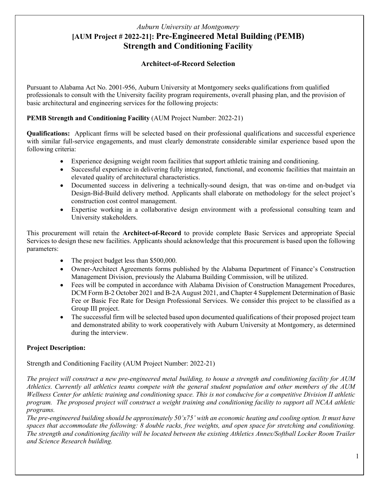# *Auburn University at Montgomery* **[AUM Project # 2022-21]: Pre-Engineered Metal Building (PEMB) Strength and Conditioning Facility**

### **Architect-of-Record Selection**

Pursuant to Alabama Act No. 2001-956, Auburn University at Montgomery seeks qualifications from qualified professionals to consult with the University facility program requirements, overall phasing plan, and the provision of basic architectural and engineering services for the following projects:

#### **PEMB Strength and Conditioning Facility** (AUM Project Number: 2022-21)

**Qualifications:** Applicant firms will be selected based on their professional qualifications and successful experience with similar full-service engagements, and must clearly demonstrate considerable similar experience based upon the following criteria:

- Experience designing weight room facilities that support athletic training and conditioning.
- Successful experience in delivering fully integrated, functional, and economic facilities that maintain an elevated quality of architectural characteristics.
- Documented success in delivering a technically-sound design, that was on-time and on-budget via Design-Bid-Build delivery method. Applicants shall elaborate on methodology for the select project's construction cost control management.
- Expertise working in a collaborative design environment with a professional consulting team and University stakeholders.

This procurement will retain the **Architect-of-Record** to provide complete Basic Services and appropriate Special Services to design these new facilities. Applicants should acknowledge that this procurement is based upon the following parameters:

- The project budget less than \$500,000.
- Owner-Architect Agreements forms published by the Alabama Department of Finance's Construction Management Division, previously the Alabama Building Commission, will be utilized.
- Fees will be computed in accordance with Alabama Division of Construction Management Procedures, DCM Form B-2 October 2021 and B-2A August 2021, and Chapter 4 Supplement Determination of Basic Fee or Basic Fee Rate for Design Professional Services. We consider this project to be classified as a Group III project.
- The successful firm will be selected based upon documented qualifications of their proposed project team and demonstrated ability to work cooperatively with Auburn University at Montgomery, as determined during the interview.

### **Project Description:**

Strength and Conditioning Facility (AUM Project Number: 2022-21)

*The project will construct a new pre-engineered metal building, to house a strength and conditioning facility for AUM Athletics. Currently all athletics teams compete with the general student population and other members of the AUM Wellness Center for athletic training and conditioning space. This is not conducive for a competitive Division II athletic program. The proposed project will construct a weight training and conditioning facility to support all NCAA athletic programs.* 

*The pre-engineered building should be approximately 50'x75' with an economic heating and cooling option. It must have spaces that accommodate the following: 8 double racks, free weights, and open space for stretching and conditioning. The strength and conditioning facility will be located between the existing Athletics Annex/Softball Locker Room Trailer and Science Research building.*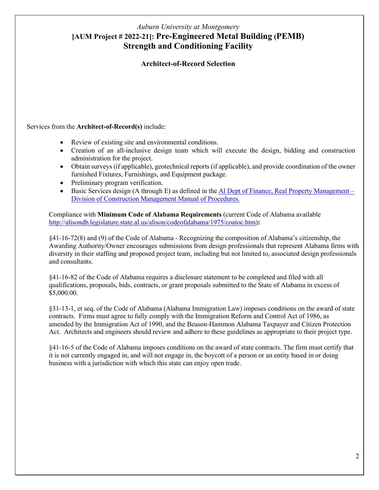# *Auburn University at Montgomery* **[AUM Project # 2022-21]: Pre-Engineered Metal Building (PEMB) Strength and Conditioning Facility**

#### **Architect-of-Record Selection**

Services from the **Architect-of-Record(s)** include:

- Review of existing site and environmental conditions.
- Creation of an all-inclusive design team which will execute the design, bidding and construction administration for the project.
- Obtain surveys (if applicable), geotechnical reports (if applicable), and provide coordination of the owner furnished Fixtures, Furnishings, and Equipment package.
- Preliminary program verification.
- Basic Services design (A through E) as defined in the **Al Dept of Finance**, Real Property Management [Division of Construction Management Manual of Procedures.](https://dcm.alabama.gov/manual.aspx)

Compliance with **Minimum Code of Alabama Requirements** (current Code of Alabama available [http://alisondb.legislature.state.al.us/alison/codeofalabama/1975/coatoc.htm\)](http://alisondb.legislature.state.al.us/alison/codeofalabama/1975/coatoc.htm)**:** 

§41-16-72(8) and (9) of the Code of Alabama - Recognizing the composition of Alabama's citizenship, the Awarding Authority/Owner encourages submissions from design professionals that represent Alabama firms with diversity in their staffing and proposed project team, including but not limited to, associated design professionals and consultants.

§41-16-82 of the Code of Alabama requires a disclosure statement to be completed and filed with all qualifications, proposals, bids, contracts, or grant proposals submitted to the State of Alabama in excess of \$5,000.00.

§31-13-1, et seq. of the Code of Alabama (Alabama Immigration Law) imposes conditions on the award of state contracts. Firms must agree to fully comply with the Immigration Reform and Control Act of 1986, as amended by the Immigration Act of 1990, and the Beason-Hammon Alabama Taxpayer and Citizen Protection Act. Architects and engineers should review and adhere to these guidelines as appropriate to their project type.

§41-16-5 of the Code of Alabama imposes conditions on the award of state contracts. The firm must certify that it is not currently engaged in, and will not engage in, the boycott of a person or an entity based in or doing business with a jurisdiction with which this state can enjoy open trade.